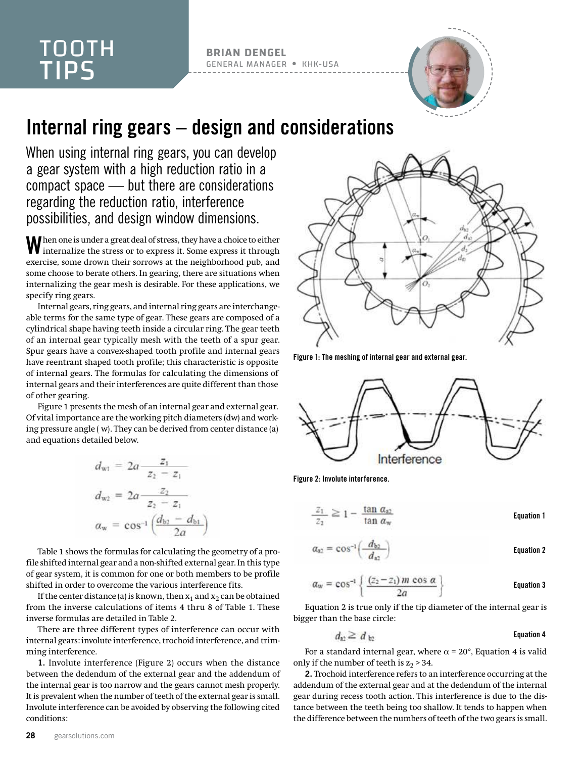## TOOTH TIPS

**BRIAN DENGEL** GENERAL MANAGER KHK-USA



## Internal ring gears – design and considerations

When using internal ring gears, you can develop a gear system with a high reduction ratio in a compact space — but there are considerations regarding the reduction ratio, interference possibilities, and design window dimensions.

W hen one is under a great deal of stress, they have a choice to either internalize the stress or to express it. Some express it through exercise, some drown their sorrows at the neighborhood pub, and some choose to berate others. In gearing, there are situations when internalizing the gear mesh is desirable. For these applications, we specify ring gears.

Internal gears, ring gears, and internal ring gears are interchangeable terms for the same type of gear. These gears are composed of a cylindrical shape having teeth inside a circular ring. The gear teeth of an internal gear typically mesh with the teeth of a spur gear. Spur gears have a convex-shaped tooth profile and internal gears have reentrant shaped tooth profile; this characteristic is opposite of internal gears. The formulas for calculating the dimensions of internal gears and their interferences are quite different than those of other gearing.

Figure 1 presents the mesh of an internal gear and external gear. Of vital importance are the working pitch diameters (dw) and working pressure angle  $(w)$ . They can be derived from center distance  $(a)$ and equations detailed below.

$$
d_{\text{w1}} = 2a \frac{z_1}{z_2 - z_1}
$$
  
\n
$$
d_{\text{w2}} = 2a \frac{z_2}{z_2 - z_1}
$$
  
\n
$$
a_{\text{w}} = \cos^{-1}\left(\frac{d_{\text{b2}} - d_{\text{b1}}}{2a}\right)
$$

Table 1 shows the formulas for calculating the geometry of a profile shifted internal gear and a non-shifted external gear. In this type of gear system, it is common for one or both members to be profile shifted in order to overcome the various interference fits.

If the center distance (a) is known, then  $\mathrm{x}_1$  and  $\mathrm{x}_2$  can be obtained from the inverse calculations of items 4 thru 8 of Table 1. These inverse formulas are detailed in Table 2.

There are three different types of interference can occur with internal gears: involute interference, trochoid interference, and trimming interference.

1. Involute interference (Figure 2) occurs when the distance between the dedendum of the external gear and the addendum of the internal gear is too narrow and the gears cannot mesh properly. It is prevalent when the number of teeth of the external gear is small. Involute interference can be avoided by observing the following cited conditions:



Figure 1: The meshing of internal gear and external gear.



Figure 2: Involute interference.

$$
\frac{z_1}{z_2} \ge 1 - \frac{\tan \alpha_{\text{ap}}}{\tan \alpha_{\text{w}}}
$$
 Equation 1

$$
a_{a2} = \cos^{-1}\left(\frac{d_{b2}}{d_{a2}}\right) \qquad \qquad \text{Equation 2}
$$

$$
\alpha_{\rm w} = \cos^{-1}\left\{\frac{(z_2 - z_1) \, m \, \cos \, \alpha}{2a}\right\} \qquad \text{Equation 3}
$$

Equation 2 is true only if the tip diameter of the internal gear is bigger than the base circle:

$$
d_{\mathbf{a}2} \geq d_{\mathbf{b}2} \qquad \qquad \text{Equation 4}
$$

For a standard internal gear, where  $\alpha$  = 20°, Equation 4 is valid only if the number of teeth is  $z_2 > 34$ .

2. Trochoid interference refers to an interference occurring at the addendum of the external gear and at the dedendum of the internal gear during recess tooth action. This interference is due to the distance between the teeth being too shallow. It tends to happen when the difference between the numbers of teeth of the two gears is small.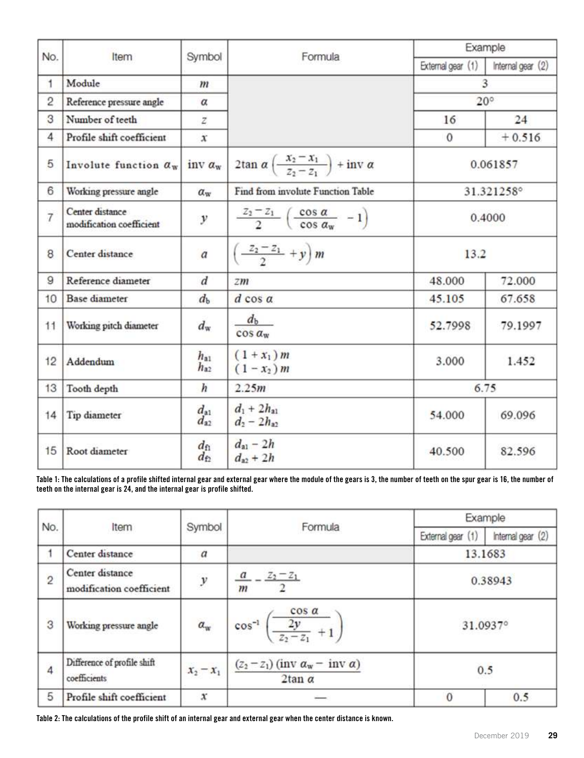|                |                                             |                              |                                                                            | Example           |                   |  |  |
|----------------|---------------------------------------------|------------------------------|----------------------------------------------------------------------------|-------------------|-------------------|--|--|
| No.            | Item                                        | Symbol                       | Formula                                                                    | External gear (1) | Internal gear (2) |  |  |
| 1              | Module                                      | m                            |                                                                            |                   | 3                 |  |  |
| 2              | Reference pressure angle                    | α                            |                                                                            | $20^{\circ}$      |                   |  |  |
| 3              | Number of teeth                             | z                            |                                                                            | 16                | 24                |  |  |
| 4              | Profile shift coefficient                   | x                            |                                                                            | $\mathbf{O}$      | $+0.516$          |  |  |
| 5              | Involute function $a_w$                     | inv $\alpha_{w}$             | 2tan $\alpha \left( \frac{x_2 - x_1}{z_2 - z_1} \right)$ + inv $\alpha$    | 0.061857          |                   |  |  |
| 6              | Working pressure angle                      | $a_w$                        | Find from involute Function Table                                          | 31.321258°        |                   |  |  |
| $\overline{7}$ | Center distance<br>modification coefficient | у                            | $\frac{z_2 - z_1}{2} \left( \frac{\cos \alpha}{\cos \alpha_w} - 1 \right)$ | 0.4000            |                   |  |  |
| 8              | Center distance                             | $\boldsymbol{a}$             | $\left(\frac{z_2-z_1}{2}+y\right)m$                                        | 13.2              |                   |  |  |
| 9              | Reference diameter                          | d                            | zm                                                                         | 48.000            | 72.000            |  |  |
| 10             | <b>Base</b> diameter                        | $d_{\rm b}$                  | $d \cos \alpha$                                                            | 45.105            | 67.658            |  |  |
| 11             | Working pitch diameter                      | $d_{\rm w}$                  | d <sub>b</sub><br>$\cos \alpha_w$                                          | 52.7998           | 79.1997           |  |  |
| 12             | Addendum                                    | $h_{a1}$<br>$h_{32}$         | $(1+x_1)m$<br>$(1-x_2)m$                                                   | 3.000             | 1.452             |  |  |
| 13             | Tooth depth                                 | $\boldsymbol{h}$             | 2.25m                                                                      | 6.75              |                   |  |  |
| 14             | Tip diameter                                | $\frac{d_{a1}}{d_{a2}}$      | $d_1 + 2h_{a1}$<br>$d_2 - 2h_{a2}$                                         | 54.000            | 69.096            |  |  |
| 15             | Root diameter                               | $d_{\rm fl}$<br>$d_{\Omega}$ | $d_{\rm al}$ – 2h<br>$d_{22}$ + 2h                                         | 40.500            | 82.596            |  |  |

Table 1: The calculations of a profile shifted internal gear and external gear where the module of the gears is 3, the number of teeth on the spur gear is 16, the number of teeth on the internal gear is 24, and the internal gear is profile shifted.

| No.            |                                             |                  |                                                                  | Example           |                   |  |  |
|----------------|---------------------------------------------|------------------|------------------------------------------------------------------|-------------------|-------------------|--|--|
|                | Item                                        | Symbol           | Formula                                                          | External gear (1) | Internal gear (2) |  |  |
|                | Center distance                             | $\boldsymbol{a}$ |                                                                  | 13.1683           |                   |  |  |
| $\overline{2}$ | Center distance<br>modification coefficient | $\mathcal{Y}$    | $z_2 - z_1$<br>m                                                 | 0.38943           |                   |  |  |
| 3              | Working pressure angle                      | $a_{\rm w}$      | $\cos \alpha$<br>$\frac{2y}{z_2-z_1}+1$<br>$\cos^{-1}$           | 31.0937°          |                   |  |  |
| $\overline{4}$ | Difference of profile shift<br>coefficients | $x_2 - x_1$      | $(z_2 - z_1)$ (inv $\alpha_w -$ inv $\alpha$ )<br>$2\tan \alpha$ | 0.5               |                   |  |  |
| 5              | Profile shift coefficient                   | x                |                                                                  | 0                 | 0.5               |  |  |

Table 2: The calculations of the profile shift of an internal gear and external gear when the center distance is known.